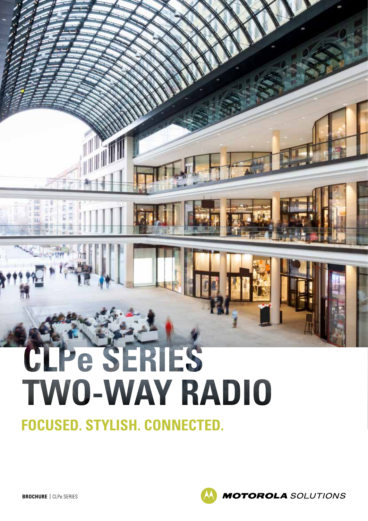# CLPe SERIES **TWO-WAY RADIO**

**FOCUSED. STYLISH. CONNECTED.**

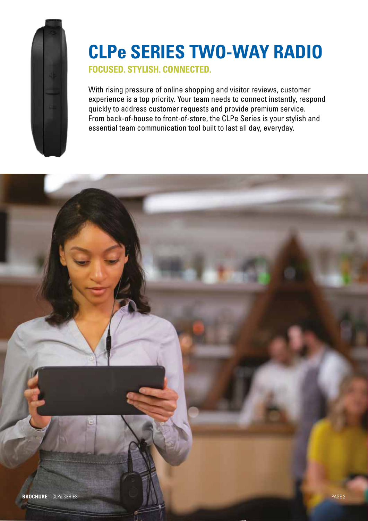

# **CLPe SERIES TWO-WAY RADIO**

**FOCUSED. STYLISH. CONNECTED.**

With rising pressure of online shopping and visitor reviews, customer experience is a top priority. Your team needs to connect instantly, respond quickly to address customer requests and provide premium service. From back-of-house to front-of-store, the CLPe Series is your stylish and essential team communication tool built to last all day, everyday.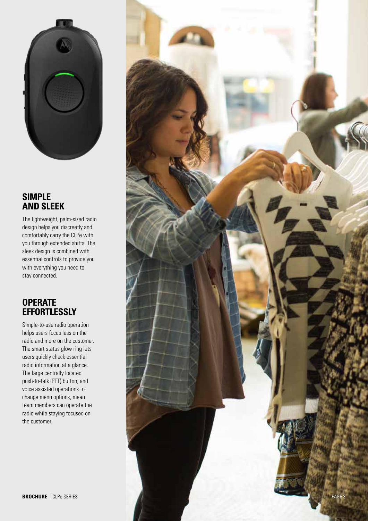

## **SIMPLE AND SLEEK**

The lightweight, palm-sized radio design helps you discreetly and comfortably carry the CLPe with you through extended shifts. The sleek design is combined with essential controls to provide you with everything you need to stay connected.

## **OPERATE EFFORTLESSLY**

Simple-to-use radio operation helps users focus less on the radio and more on the customer. The smart status glow ring lets users quickly check essential radio information at a glance. The large centrally located push-to-talk (PTT) button, and voice assisted operations to change menu options, mean team members can operate the radio while staying focused on the customer.

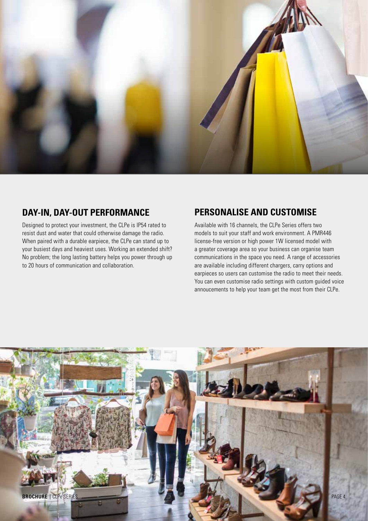

#### **DAY-IN, DAY-OUT PERFORMANCE**

Designed to protect your investment, the CLPe is IP54 rated to resist dust and water that could otherwise damage the radio. When paired with a durable earpiece, the CLPe can stand up to your busiest days and heaviest uses. Working an extended shift? No problem; the long lasting battery helps you power through up to 20 hours of communication and collaboration.

### **PERSONALISE AND CUSTOMISE**

Available with 16 channels, the CLPe Series offers two models to suit your staff and work environment. A PMR446 license-free version or high power 1W licensed model with a greater coverage area so your business can organise team communications in the space you need. A range of accessories are available including different chargers, carry options and earpieces so users can customise the radio to meet their needs. You can even customise radio settings with custom guided voice annoucements to help your team get the most from their CLPe.

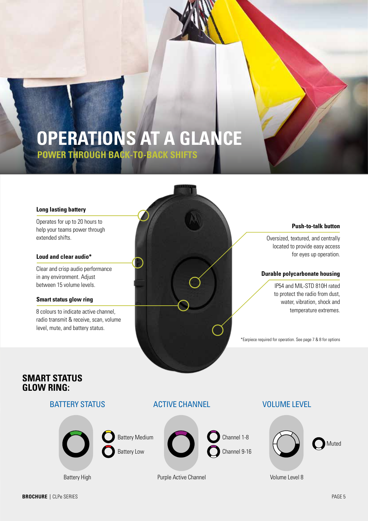## **OPERATIONS AT A GLANCE POWER THROUGH BACK-TO-BACK SHIFTS**

#### **Long lasting battery**

help your teams power through extended shifts.

#### **Loud and clear audio\***

Clear and crisp audio performance in any environment. Adjust between 15 volume levels.

#### **Smart status glow ring**

8 colours to indicate active channel, radio transmit & receive, scan, volume level, mute, and battery status.



Oversized, textured, and centrally located to provide easy access for eyes up operation.

#### **Durable polycarbonate housing**

IP54 and MIL-STD 810H rated to protect the radio from dust, water, vibration, shock and temperature extremes.

\*Earpiece required for operation. See page 7 & 8 for options

#### **SMART STATUS GLOW RING:**

#### BATTERY STATUS



ACTIVE CHANNEL



Purple Active Channel

VOLUME LEVEL



Volume Level 8

Battery High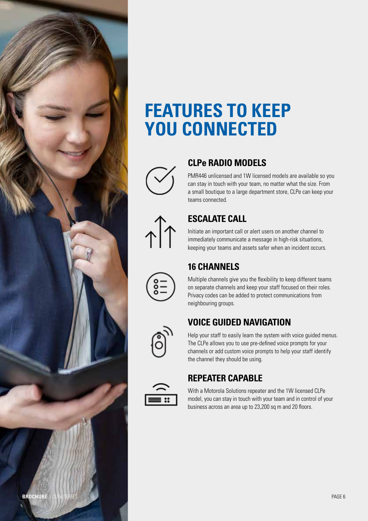

## **FEATURES TO KEEP YOU CONNECTED**



## **CLPe RADIO MODELS**

PMR446 unlicensed and 1W licensed models are available so you can stay in touch with your team, no matter what the size. From a small boutique to a large department store, CLPe can keep your teams connected.

# $\hat{A}$

## **ESCALATE CALL**

Initiate an important call or alert users on another channel to immediately communicate a message in high-risk situations, keeping your teams and assets safer when an incident occurs.

## **16 CHANNELS**

Multiple channels give you the flexibility to keep different teams on separate channels and keep your staff focused on their roles. Privacy codes can be added to protect communications from neighbouring groups.

## **VOICE GUIDED NAVIGATION**

Help your staff to easily learn the system with voice guided menus. The CLPe allows you to use pre-defined voice prompts for your channels or add custom voice prompts to help your staff identify the channel they should be using.

## **REPEATER CAPABLE**

With a Motorola Solutions repeater and the 1W licensed CLPe model, you can stay in touch with your team and in control of your business across an area up to 23,200 sq m and 20 floors.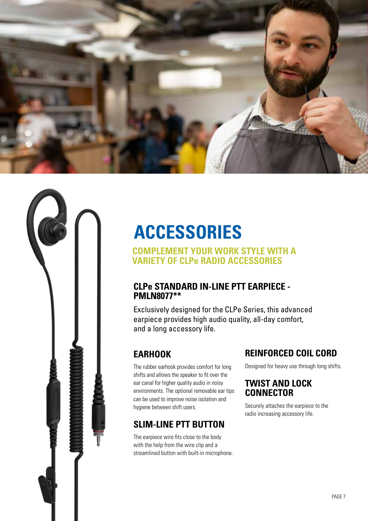



# **ACCESSORIES**

#### **COMPLEMENT YOUR WORK STYLE WITH A VARIETY OF CLPe RADIO ACCESSORIES**

#### **CLPe STANDARD IN-LINE PTT EARPIECE - PMLN8077\*\***

Exclusively designed for the CLPe Series, this advanced earpiece provides high audio quality, all-day comfort, and a long accessory life.

## **EARHOOK**

The rubber earhook provides comfort for long shifts and allows the speaker to fit over the ear canal for higher quality audio in noisy environments. The optional removable ear tips can be used to improve noise isolation and hygiene between shift users.

## **SLIM-LINE PTT BUTTON**

The earpiece wire fits close to the body with the help from the wire clip and a streamlined button with built-in microphone.

## **REINFORCED COIL CORD**

Designed for heavy use through long shifts.

## **TWIST AND LOCK CONNECTOR**

Securely attaches the earpiece to the radio increasing accessory life.